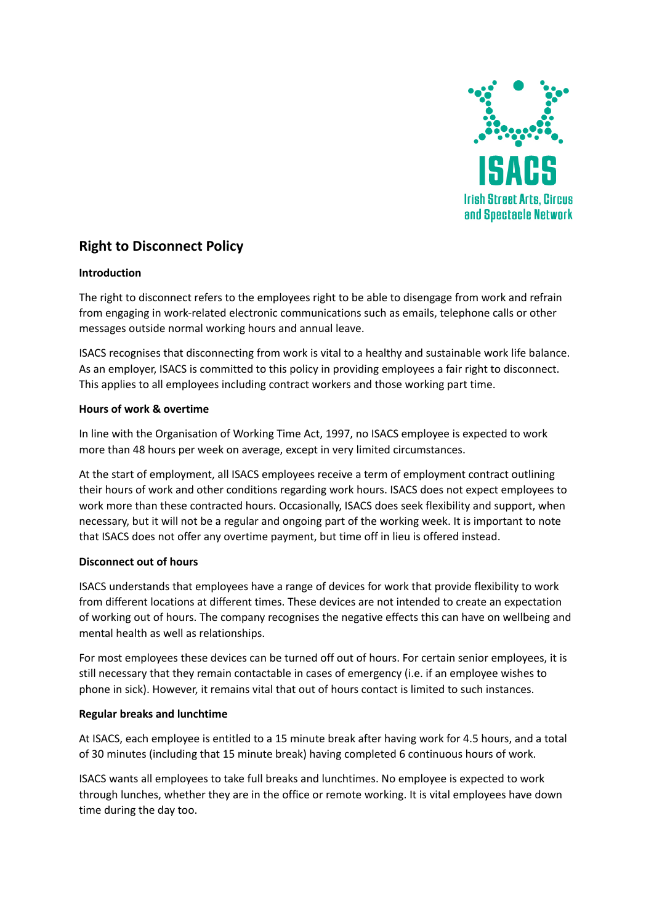

# **Right to Disconnect Policy**

# **Introduction**

The right to disconnect refers to the employees right to be able to disengage from work and refrain from engaging in work-related electronic communications such as emails, telephone calls or other messages outside normal working hours and annual leave.

ISACS recognises that disconnecting from work is vital to a healthy and sustainable work life balance. As an employer, ISACS is committed to this policy in providing employees a fair right to disconnect. This applies to all employees including contract workers and those working part time.

# **Hours of work & overtime**

In line with the Organisation of Working Time Act, 1997, no ISACS employee is expected to work more than 48 hours per week on average, except in very limited circumstances.

At the start of employment, all ISACS employees receive a term of employment contract outlining their hours of work and other conditions regarding work hours. ISACS does not expect employees to work more than these contracted hours. Occasionally, ISACS does seek flexibility and support, when necessary, but it will not be a regular and ongoing part of the working week. It is important to note that ISACS does not offer any overtime payment, but time off in lieu is offered instead.

# **Disconnect out of hours**

ISACS understands that employees have a range of devices for work that provide flexibility to work from different locations at different times. These devices are not intended to create an expectation of working out of hours. The company recognises the negative effects this can have on wellbeing and mental health as well as relationships.

For most employees these devices can be turned off out of hours. For certain senior employees, it is still necessary that they remain contactable in cases of emergency (i.e. if an employee wishes to phone in sick). However, it remains vital that out of hours contact is limited to such instances.

#### **Regular breaks and lunchtime**

At ISACS, each employee is entitled to a 15 minute break after having work for 4.5 hours, and a total of 30 minutes (including that 15 minute break) having completed 6 continuous hours of work.

ISACS wants all employees to take full breaks and lunchtimes. No employee is expected to work through lunches, whether they are in the office or remote working. It is vital employees have down time during the day too.